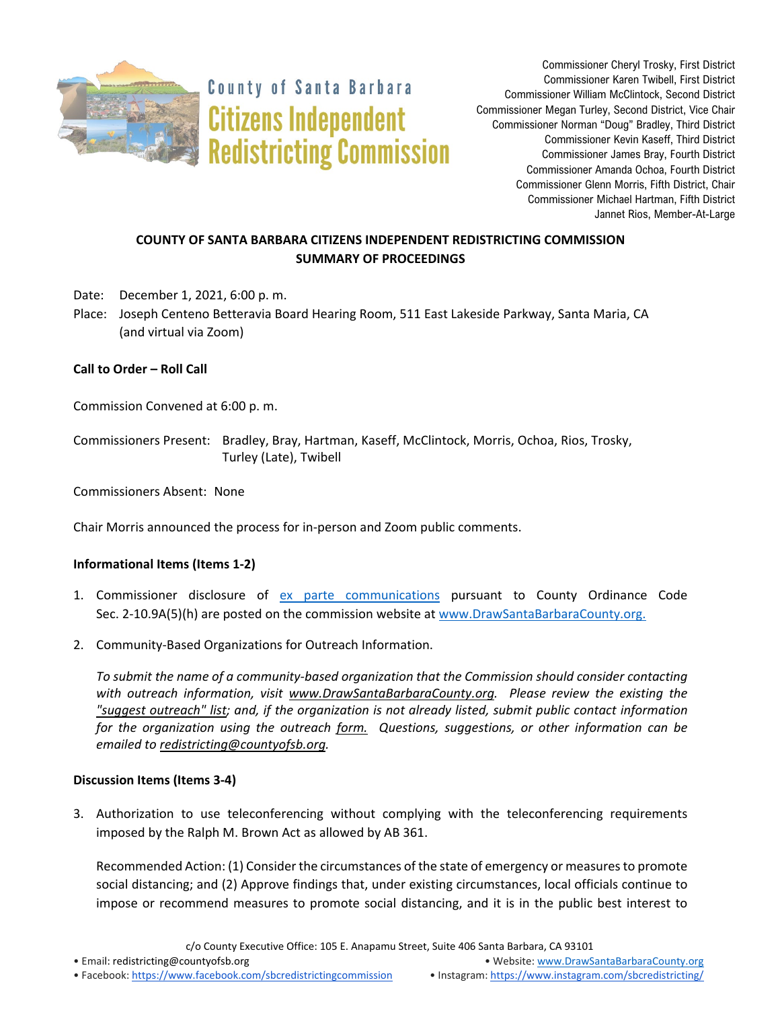

**County of Santa Barbara Citizens Independent Redistricting Commission** 

Commissioner Cheryl Trosky, First District Commissioner Karen Twibell, First District Commissioner William McClintock, Second District Commissioner Megan Turley, Second District, Vice Chair Commissioner Norman "Doug" Bradley, Third District Commissioner Kevin Kaseff, Third District Commissioner James Bray, Fourth District Commissioner Amanda Ochoa, Fourth District Commissioner Glenn Morris, Fifth District, Chair Commissioner Michael Hartman, Fifth District Jannet Rios, Member-At-Large

# **COUNTY OF SANTA BARBARA CITIZENS INDEPENDENT REDISTRICTING COMMISSION SUMMARY OF PROCEEDINGS**

Date: December 1, 2021, 6:00 p. m.

Place: Joseph Centeno Betteravia Board Hearing Room, 511 East Lakeside Parkway, Santa Maria, CA (and virtual via Zoom)

## **Call to Order – Roll Call**

Commission Convened at 6:00 p. m.

Commissioners Present: Bradley, Bray, Hartman, Kaseff, McClintock, Morris, Ochoa, Rios, Trosky, Turley (Late), Twibell

Commissioners Absent: None

Chair Morris announced the process for in-person and Zoom public comments.

### **Informational Items (Items 1-2)**

- 1. Commissioner disclosure of [ex parte communications](https://docs.google.com/spreadsheets/d/1zGO1NmeO_y9ohV2vMMFAtu6b3rVpIXViVtRool9dmBg/edit?usp=drive_web) pursuant to County Ordinance Code Sec. 2-10.9A(5)(h) are posted on the commission website a[t www.DrawSantaBarbaraCounty.org.](https://drawsantabarbaracounty.org/)
- 2. Community-Based Organizations for Outreach Information.

*To submit the name of a community-based organization that the Commission should consider contacting with outreach information, visit [www.DrawSantaBarbaraCounty.org.](https://drawsantabarbaracounty.org/) Please review the existing the ["suggest outreach" list;](https://docs.google.com/spreadsheets/d/1UJ1ySGqbuCHCzBUmmmucxcie9jwBxhYizM6NtskKzVE/edit?usp=sharing) and, if the organization is not already listed, submit public contact information for the organization using the outreach [form.](https://docs.google.com/forms/d/1_O68kwmgiV6H3eKAw1-3uuN49dk6N49P3hWUL9MHvcY/edit?usp=sharing) Questions, suggestions, or other information can be emailed to [redistricting@countyofsb.org.](mailto:redistricting@countyofsb.org)*

### **Discussion Items (Items 3-4)**

3. Authorization to use teleconferencing without complying with the teleconferencing requirements imposed by the Ralph M. Brown Act as allowed by AB 361.

Recommended Action: (1) Consider the circumstances of the state of emergency or measures to promote social distancing; and (2) Approve findings that, under existing circumstances, local officials continue to impose or recommend measures to promote social distancing, and it is in the public best interest to

c/o County Executive Office: 105 E. Anapamu Street, Suite 406 Santa Barbara, CA 93101

• Email[: redistricting@countyofsb.org](mailto:redistricting@countyofsb.org) • Website: [www.DrawSantaBarbaraCounty.org](http://www.drawsantabarbaracounty.org/)

• Facebook: <https://www.facebook.com/sbcredistrictingcommission> • Instagram: <https://www.instagram.com/sbcredistricting/>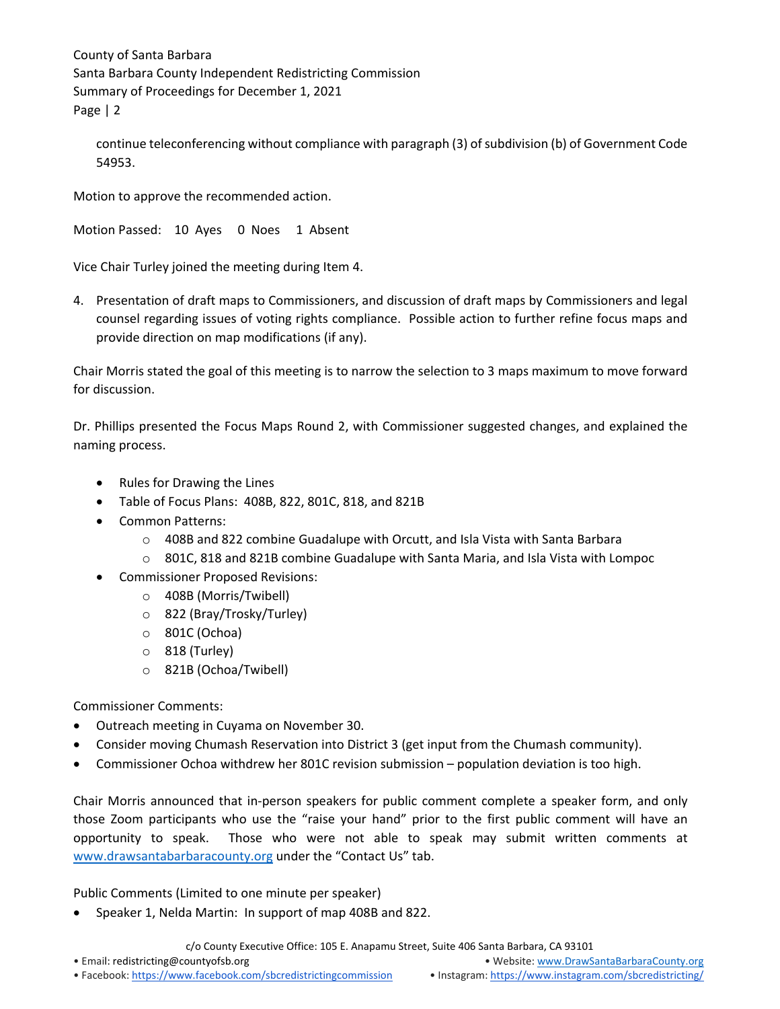continue teleconferencing without compliance with paragraph (3) of subdivision (b) of Government Code 54953.

Motion to approve the recommended action.

Motion Passed: 10 Ayes 0 Noes 1 Absent

Vice Chair Turley joined the meeting during Item 4.

4. Presentation of draft maps to Commissioners, and discussion of draft maps by Commissioners and legal counsel regarding issues of voting rights compliance. Possible action to further refine focus maps and provide direction on map modifications (if any).

Chair Morris stated the goal of this meeting is to narrow the selection to 3 maps maximum to move forward for discussion.

Dr. Phillips presented the Focus Maps Round 2, with Commissioner suggested changes, and explained the naming process.

- Rules for Drawing the Lines
- Table of Focus Plans: 408B, 822, 801C, 818, and 821B
- Common Patterns:
	- $\circ$  408B and 822 combine Guadalupe with Orcutt, and Isla Vista with Santa Barbara
	- $\circ$  801C, 818 and 821B combine Guadalupe with Santa Maria, and Isla Vista with Lompoc
- Commissioner Proposed Revisions:
	- o 408B (Morris/Twibell)
	- o 822 (Bray/Trosky/Turley)
	- o 801C (Ochoa)
	- o 818 (Turley)
	- o 821B (Ochoa/Twibell)

Commissioner Comments:

- Outreach meeting in Cuyama on November 30.
- Consider moving Chumash Reservation into District 3 (get input from the Chumash community).
- Commissioner Ochoa withdrew her 801C revision submission population deviation is too high.

Chair Morris announced that in-person speakers for public comment complete a speaker form, and only those Zoom participants who use the "raise your hand" prior to the first public comment will have an opportunity to speak. Those who were not able to speak may submit written comments at [www.drawsantabarbaracounty.org](http://www.drawsantabarbaracounty.org/) under the "Contact Us" tab.

Public Comments (Limited to one minute per speaker)

• Speaker 1, Nelda Martin: In support of map 408B and 822.

c/o County Executive Office: 105 E. Anapamu Street, Suite 406 Santa Barbara, CA 93101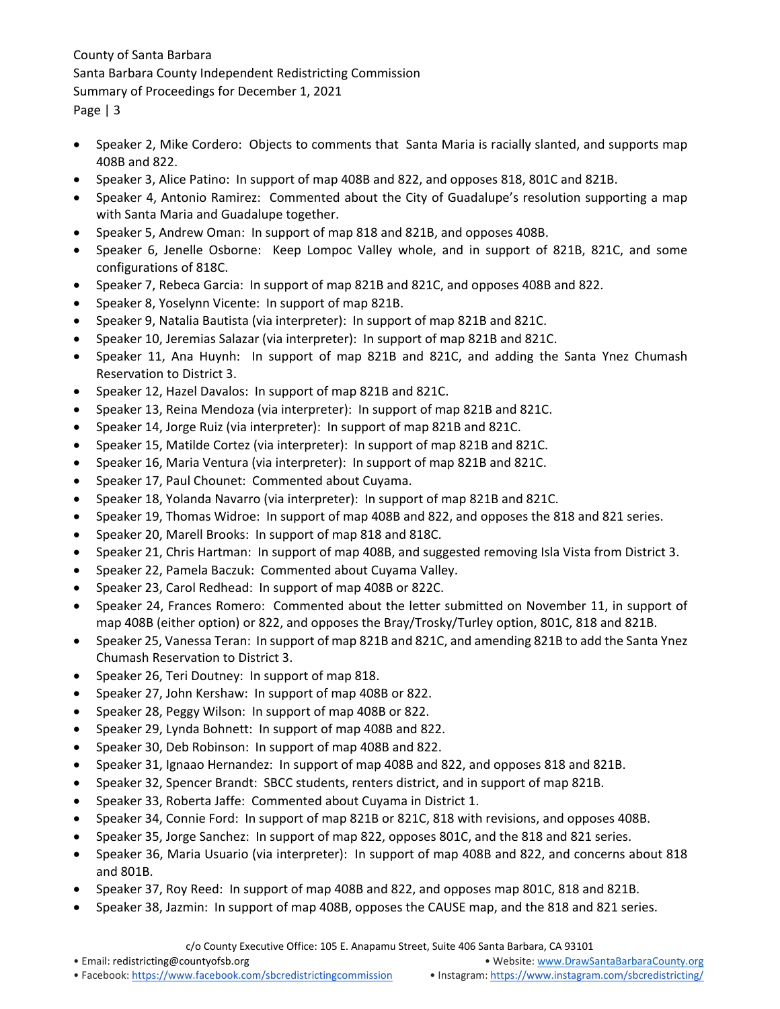- Speaker 2, Mike Cordero: Objects to comments that Santa Maria is racially slanted, and supports map 408B and 822.
- Speaker 3, Alice Patino: In support of map 408B and 822, and opposes 818, 801C and 821B.
- Speaker 4, Antonio Ramirez: Commented about the City of Guadalupe's resolution supporting a map with Santa Maria and Guadalupe together.
- Speaker 5, Andrew Oman: In support of map 818 and 821B, and opposes 408B.
- Speaker 6, Jenelle Osborne: Keep Lompoc Valley whole, and in support of 821B, 821C, and some configurations of 818C.
- Speaker 7, Rebeca Garcia: In support of map 821B and 821C, and opposes 408B and 822.
- Speaker 8, Yoselynn Vicente: In support of map 821B.
- Speaker 9, Natalia Bautista (via interpreter): In support of map 821B and 821C.
- Speaker 10, Jeremias Salazar (via interpreter): In support of map 821B and 821C.
- Speaker 11, Ana Huynh: In support of map 821B and 821C, and adding the Santa Ynez Chumash Reservation to District 3.
- Speaker 12, Hazel Davalos: In support of map 821B and 821C.
- Speaker 13, Reina Mendoza (via interpreter): In support of map 821B and 821C.
- Speaker 14, Jorge Ruiz (via interpreter): In support of map 821B and 821C.
- Speaker 15, Matilde Cortez (via interpreter): In support of map 821B and 821C.
- Speaker 16, Maria Ventura (via interpreter): In support of map 821B and 821C.
- Speaker 17, Paul Chounet: Commented about Cuyama.
- Speaker 18, Yolanda Navarro (via interpreter): In support of map 821B and 821C.
- Speaker 19, Thomas Widroe: In support of map 408B and 822, and opposes the 818 and 821 series.
- Speaker 20, Marell Brooks: In support of map 818 and 818C.
- Speaker 21, Chris Hartman: In support of map 408B, and suggested removing Isla Vista from District 3.
- Speaker 22, Pamela Baczuk: Commented about Cuyama Valley.
- Speaker 23, Carol Redhead: In support of map 408B or 822C.
- Speaker 24, Frances Romero: Commented about the letter submitted on November 11, in support of map 408B (either option) or 822, and opposes the Bray/Trosky/Turley option, 801C, 818 and 821B.
- Speaker 25, Vanessa Teran: In support of map 821B and 821C, and amending 821B to add the Santa Ynez Chumash Reservation to District 3.
- Speaker 26, Teri Doutney: In support of map 818.
- Speaker 27, John Kershaw: In support of map 408B or 822.
- Speaker 28, Peggy Wilson: In support of map 408B or 822.
- Speaker 29, Lynda Bohnett: In support of map 408B and 822.
- Speaker 30, Deb Robinson: In support of map 408B and 822.
- Speaker 31, Ignaao Hernandez: In support of map 408B and 822, and opposes 818 and 821B.
- Speaker 32, Spencer Brandt: SBCC students, renters district, and in support of map 821B.
- Speaker 33, Roberta Jaffe: Commented about Cuyama in District 1.
- Speaker 34, Connie Ford: In support of map 821B or 821C, 818 with revisions, and opposes 408B.
- Speaker 35, Jorge Sanchez: In support of map 822, opposes 801C, and the 818 and 821 series.
- Speaker 36, Maria Usuario (via interpreter): In support of map 408B and 822, and concerns about 818 and 801B.
- Speaker 37, Roy Reed: In support of map 408B and 822, and opposes map 801C, 818 and 821B.
- Speaker 38, Jazmin: In support of map 408B, opposes the CAUSE map, and the 818 and 821 series.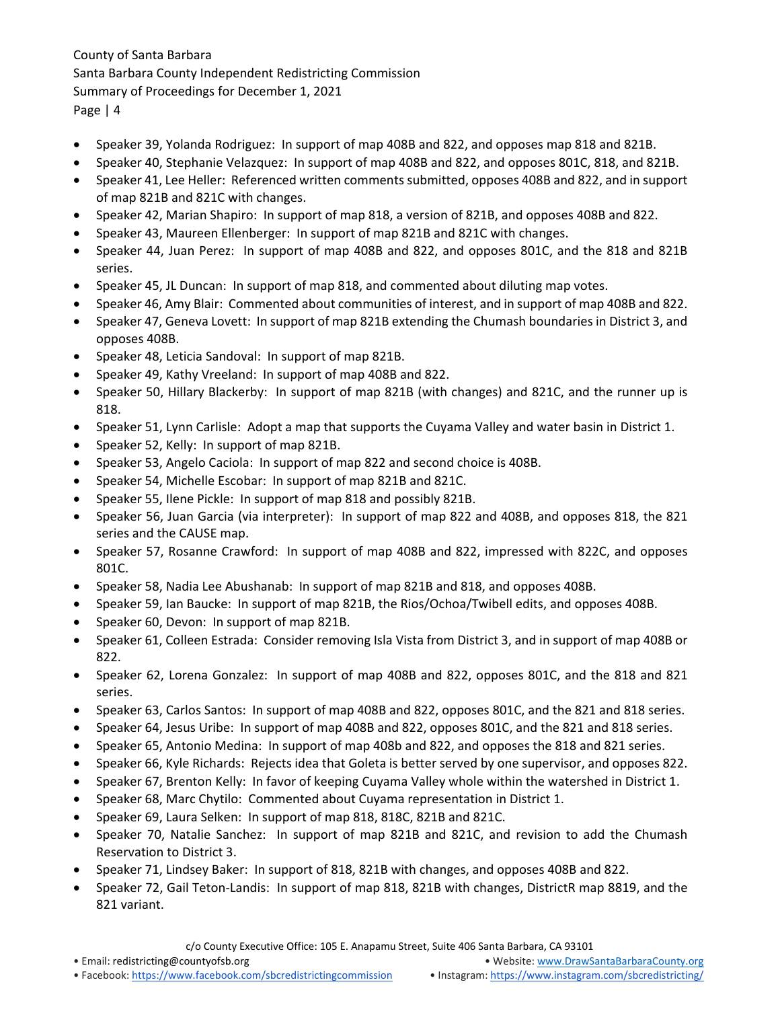- Speaker 39, Yolanda Rodriguez: In support of map 408B and 822, and opposes map 818 and 821B.
- Speaker 40, Stephanie Velazquez: In support of map 408B and 822, and opposes 801C, 818, and 821B.
- Speaker 41, Lee Heller: Referenced written comments submitted, opposes 408B and 822, and in support of map 821B and 821C with changes.
- Speaker 42, Marian Shapiro: In support of map 818, a version of 821B, and opposes 408B and 822.
- Speaker 43, Maureen Ellenberger: In support of map 821B and 821C with changes.
- Speaker 44, Juan Perez: In support of map 408B and 822, and opposes 801C, and the 818 and 821B series.
- Speaker 45, JL Duncan: In support of map 818, and commented about diluting map votes.
- Speaker 46, Amy Blair: Commented about communities of interest, and in support of map 408B and 822.
- Speaker 47, Geneva Lovett: In support of map 821B extending the Chumash boundaries in District 3, and opposes 408B.
- Speaker 48, Leticia Sandoval: In support of map 821B.
- Speaker 49, Kathy Vreeland: In support of map 408B and 822.
- Speaker 50, Hillary Blackerby: In support of map 821B (with changes) and 821C, and the runner up is 818.
- Speaker 51, Lynn Carlisle: Adopt a map that supports the Cuyama Valley and water basin in District 1.
- Speaker 52, Kelly: In support of map 821B.
- Speaker 53, Angelo Caciola: In support of map 822 and second choice is 408B.
- Speaker 54, Michelle Escobar: In support of map 821B and 821C.
- Speaker 55, Ilene Pickle: In support of map 818 and possibly 821B.
- Speaker 56, Juan Garcia (via interpreter): In support of map 822 and 408B, and opposes 818, the 821 series and the CAUSE map.
- Speaker 57, Rosanne Crawford: In support of map 408B and 822, impressed with 822C, and opposes 801C.
- Speaker 58, Nadia Lee Abushanab: In support of map 821B and 818, and opposes 408B.
- Speaker 59, Ian Baucke: In support of map 821B, the Rios/Ochoa/Twibell edits, and opposes 408B.
- Speaker 60, Devon: In support of map 821B.
- Speaker 61, Colleen Estrada: Consider removing Isla Vista from District 3, and in support of map 408B or 822.
- Speaker 62, Lorena Gonzalez: In support of map 408B and 822, opposes 801C, and the 818 and 821 series.
- Speaker 63, Carlos Santos: In support of map 408B and 822, opposes 801C, and the 821 and 818 series.
- Speaker 64, Jesus Uribe: In support of map 408B and 822, opposes 801C, and the 821 and 818 series.
- Speaker 65, Antonio Medina: In support of map 408b and 822, and opposes the 818 and 821 series.
- Speaker 66, Kyle Richards: Rejects idea that Goleta is better served by one supervisor, and opposes 822.
- Speaker 67, Brenton Kelly: In favor of keeping Cuyama Valley whole within the watershed in District 1.
- Speaker 68, Marc Chytilo: Commented about Cuyama representation in District 1.
- Speaker 69, Laura Selken: In support of map 818, 818C, 821B and 821C.
- Speaker 70, Natalie Sanchez: In support of map 821B and 821C, and revision to add the Chumash Reservation to District 3.
- Speaker 71, Lindsey Baker: In support of 818, 821B with changes, and opposes 408B and 822.
- Speaker 72, Gail Teton-Landis: In support of map 818, 821B with changes, DistrictR map 8819, and the 821 variant.

c/o County Executive Office: 105 E. Anapamu Street, Suite 406 Santa Barbara, CA 93101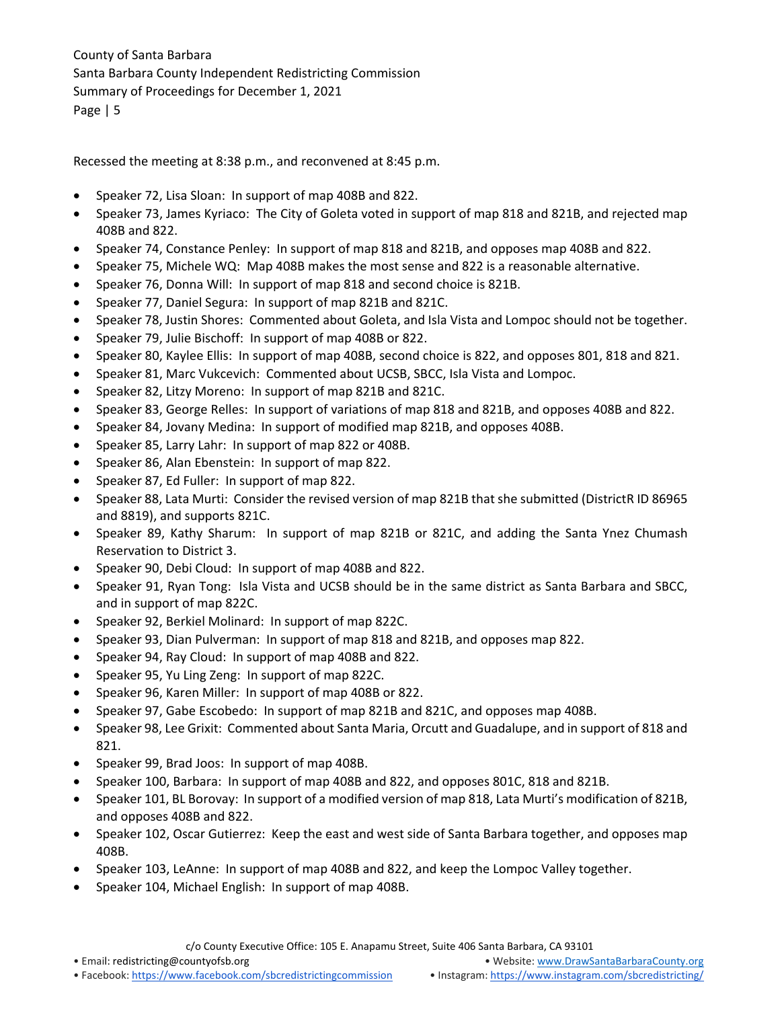Recessed the meeting at 8:38 p.m., and reconvened at 8:45 p.m.

- Speaker 72, Lisa Sloan: In support of map 408B and 822.
- Speaker 73, James Kyriaco: The City of Goleta voted in support of map 818 and 821B, and rejected map 408B and 822.
- Speaker 74, Constance Penley: In support of map 818 and 821B, and opposes map 408B and 822.
- Speaker 75, Michele WQ: Map 408B makes the most sense and 822 is a reasonable alternative.
- Speaker 76, Donna Will: In support of map 818 and second choice is 821B.
- Speaker 77, Daniel Segura: In support of map 821B and 821C.
- Speaker 78, Justin Shores: Commented about Goleta, and Isla Vista and Lompoc should not be together.
- Speaker 79, Julie Bischoff: In support of map 408B or 822.
- Speaker 80, Kaylee Ellis: In support of map 408B, second choice is 822, and opposes 801, 818 and 821.
- Speaker 81, Marc Vukcevich: Commented about UCSB, SBCC, Isla Vista and Lompoc.
- Speaker 82, Litzy Moreno: In support of map 821B and 821C.
- Speaker 83, George Relles: In support of variations of map 818 and 821B, and opposes 408B and 822.
- Speaker 84, Jovany Medina: In support of modified map 821B, and opposes 408B.
- Speaker 85, Larry Lahr: In support of map 822 or 408B.
- Speaker 86, Alan Ebenstein: In support of map 822.
- Speaker 87, Ed Fuller: In support of map 822.
- Speaker 88, Lata Murti: Consider the revised version of map 821B that she submitted (DistrictR ID 86965 and 8819), and supports 821C.
- Speaker 89, Kathy Sharum: In support of map 821B or 821C, and adding the Santa Ynez Chumash Reservation to District 3.
- Speaker 90, Debi Cloud: In support of map 408B and 822.
- Speaker 91, Ryan Tong: Isla Vista and UCSB should be in the same district as Santa Barbara and SBCC, and in support of map 822C.
- Speaker 92, Berkiel Molinard: In support of map 822C.
- Speaker 93, Dian Pulverman: In support of map 818 and 821B, and opposes map 822.
- Speaker 94, Ray Cloud: In support of map 408B and 822.
- Speaker 95, Yu Ling Zeng: In support of map 822C.
- Speaker 96, Karen Miller: In support of map 408B or 822.
- Speaker 97, Gabe Escobedo: In support of map 821B and 821C, and opposes map 408B.
- Speaker 98, Lee Grixit: Commented about Santa Maria, Orcutt and Guadalupe, and in support of 818 and 821.
- Speaker 99, Brad Joos: In support of map 408B.
- Speaker 100, Barbara: In support of map 408B and 822, and opposes 801C, 818 and 821B.
- Speaker 101, BL Borovay: In support of a modified version of map 818, Lata Murti's modification of 821B, and opposes 408B and 822.
- Speaker 102, Oscar Gutierrez: Keep the east and west side of Santa Barbara together, and opposes map 408B.
- Speaker 103, LeAnne: In support of map 408B and 822, and keep the Lompoc Valley together.
- Speaker 104, Michael English: In support of map 408B.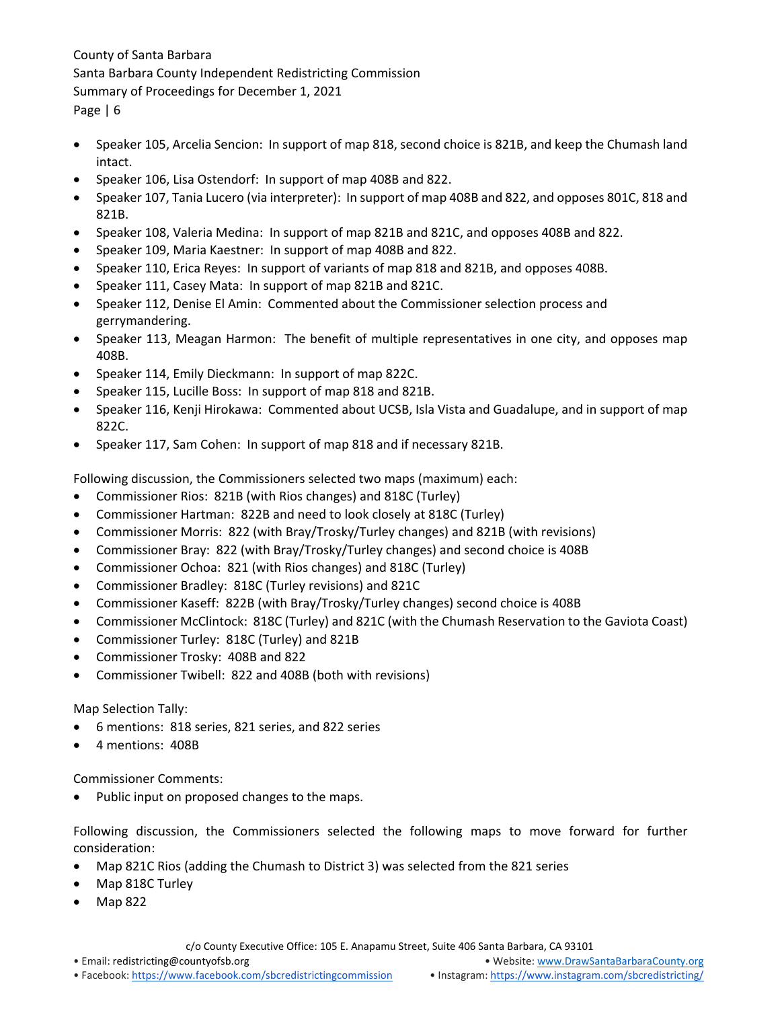- Speaker 105, Arcelia Sencion: In support of map 818, second choice is 821B, and keep the Chumash land intact.
- Speaker 106, Lisa Ostendorf: In support of map 408B and 822.
- Speaker 107, Tania Lucero (via interpreter): In support of map 408B and 822, and opposes 801C, 818 and 821B.
- Speaker 108, Valeria Medina: In support of map 821B and 821C, and opposes 408B and 822.
- Speaker 109, Maria Kaestner: In support of map 408B and 822.
- Speaker 110, Erica Reyes: In support of variants of map 818 and 821B, and opposes 408B.
- Speaker 111, Casey Mata: In support of map 821B and 821C.
- Speaker 112, Denise El Amin: Commented about the Commissioner selection process and gerrymandering.
- Speaker 113, Meagan Harmon: The benefit of multiple representatives in one city, and opposes map 408B.
- Speaker 114, Emily Dieckmann: In support of map 822C.
- Speaker 115, Lucille Boss: In support of map 818 and 821B.
- Speaker 116, Kenji Hirokawa: Commented about UCSB, Isla Vista and Guadalupe, and in support of map 822C.
- Speaker 117, Sam Cohen: In support of map 818 and if necessary 821B.

Following discussion, the Commissioners selected two maps (maximum) each:

- Commissioner Rios: 821B (with Rios changes) and 818C (Turley)
- Commissioner Hartman: 822B and need to look closely at 818C (Turley)
- Commissioner Morris: 822 (with Bray/Trosky/Turley changes) and 821B (with revisions)
- Commissioner Bray: 822 (with Bray/Trosky/Turley changes) and second choice is 408B
- Commissioner Ochoa: 821 (with Rios changes) and 818C (Turley)
- Commissioner Bradley: 818C (Turley revisions) and 821C
- Commissioner Kaseff: 822B (with Bray/Trosky/Turley changes) second choice is 408B
- Commissioner McClintock: 818C (Turley) and 821C (with the Chumash Reservation to the Gaviota Coast)
- Commissioner Turley: 818C (Turley) and 821B
- Commissioner Trosky: 408B and 822
- Commissioner Twibell: 822 and 408B (both with revisions)

### Map Selection Tally:

- 6 mentions: 818 series, 821 series, and 822 series
- 4 mentions: 408B

Commissioner Comments:

• Public input on proposed changes to the maps.

Following discussion, the Commissioners selected the following maps to move forward for further consideration:

- Map 821C Rios (adding the Chumash to District 3) was selected from the 821 series
- Map 818C Turley
- Map 822

c/o County Executive Office: 105 E. Anapamu Street, Suite 406 Santa Barbara, CA 93101